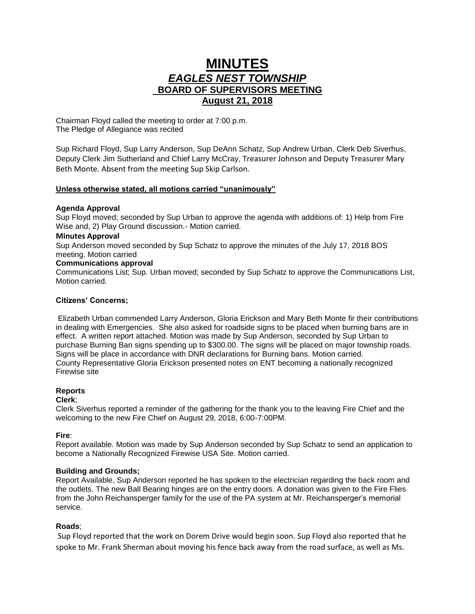# **MINUTES** *EAGLES NEST TOWNSHIP*  **BOARD OF SUPERVISORS MEETING August 21, 2018**

Chairman Floyd called the meeting to order at 7:00 p.m. The Pledge of Allegiance was recited

Sup Richard Floyd, Sup Larry Anderson, Sup DeAnn Schatz, Sup Andrew Urban, Clerk Deb Siverhus, Deputy Clerk Jim Sutherland and Chief Larry McCray, Treasurer Johnson and Deputy Treasurer Mary Beth Monte. Absent from the meeting Sup Skip Carlson.

### **Unless otherwise stated, all motions carried "unanimously"**

### **Agenda Approval**

Sup Floyd moved; seconded by Sup Urban to approve the agenda with additions of: 1) Help from Fire Wise and, 2) Play Ground discussion.- Motion carried.

### **Minutes Approval**

Sup Anderson moved seconded by Sup Schatz to approve the minutes of the July 17, 2018 BOS meeting. Motion carried

# **Communications approval**

Communications List; Sup. Urban moved; seconded by Sup Schatz to approve the Communications List, Motion carried.

### **Citizens' Concerns;**

Elizabeth Urban commended Larry Anderson, Gloria Erickson and Mary Beth Monte fir their contributions in dealing with Emergencies. She also asked for roadside signs to be placed when burning bans are in effect. A written report attached. Motion was made by Sup Anderson, seconded by Sup Urban to purchase Burning Ban signs spending up to \$300.00. The signs will be placed on major township roads. Signs will be place in accordance with DNR declarations for Burning bans. Motion carried. County Representative Gloria Erickson presented notes on ENT becoming a nationally recognized Firewise site

### **Reports**

### **Clerk**;

Clerk Siverhus reported a reminder of the gathering for the thank you to the leaving Fire Chief and the welcoming to the new Fire Chief on August 29, 2018, 6:00-7:00PM.

# **Fire**:

Report available. Motion was made by Sup Anderson seconded by Sup Schatz to send an application to become a Nationally Recognized Firewise USA Site. Motion carried.

# **Building and Grounds;**

Report Available, Sup Anderson reported he has spoken to the electrician regarding the back room and the outlets. The new Ball Bearing hinges are on the entry doors. A donation was given to the Fire Flies from the John Reichansperger family for the use of the PA system at Mr. Reichansperger's memorial service.

### **Roads**;

Sup Floyd reported that the work on Dorem Drive would begin soon. Sup Floyd also reported that he spoke to Mr. Frank Sherman about moving his fence back away from the road surface, as well as Ms.